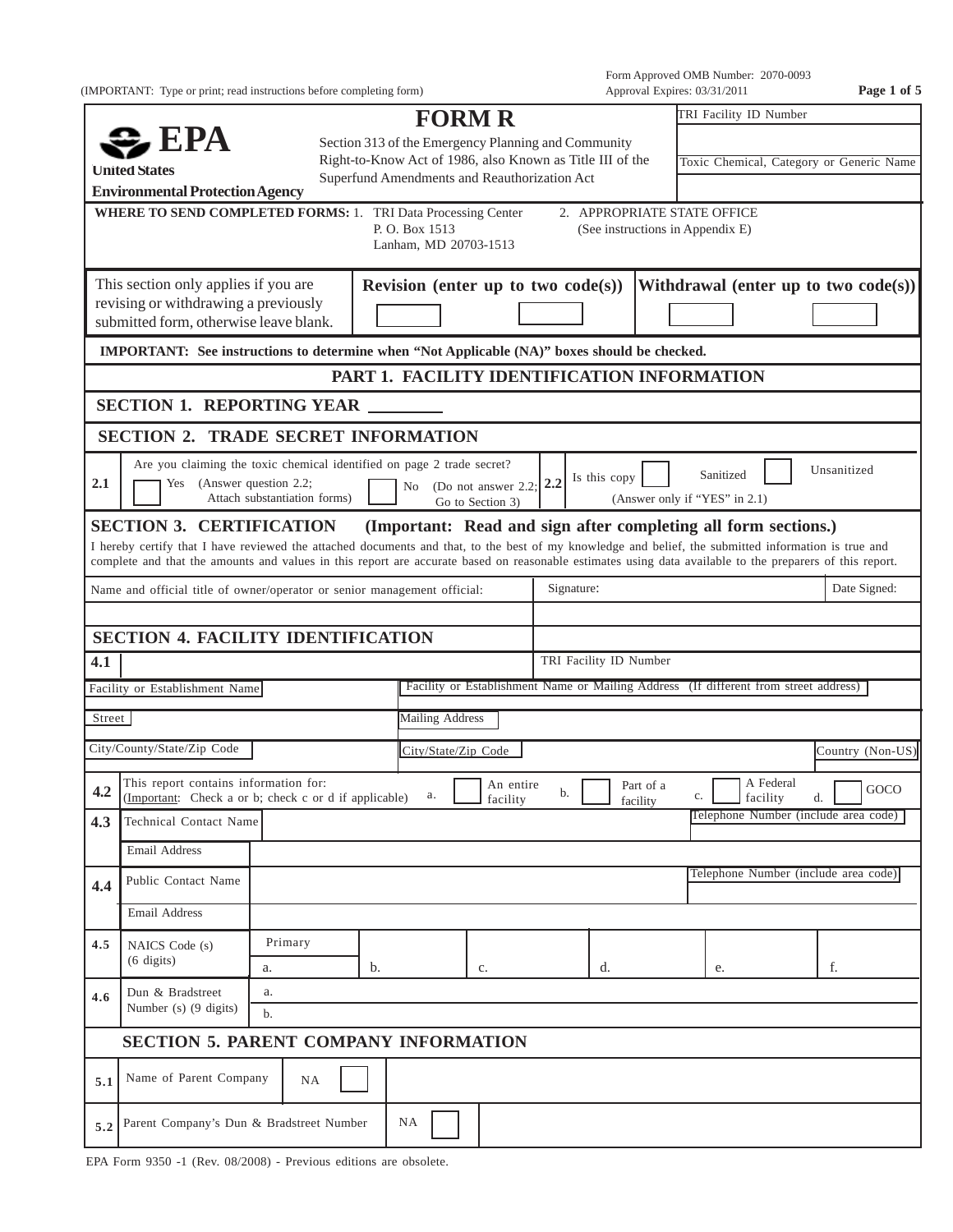(IMPORTANT: Type or print; read instructions before completing form) Approval Expires: 03/31/2011 **Page 1 of 5**

Form Approved OMB Number: 2070-0093

|                                                                                                                                                                                                                                                       |                                                                                                                                                                                                                                                                                                                                                     |                              |    | <b>FORM R</b>                                                  |                                                                                      |    |                        |                                                                 |    | TRI Facility ID Number |                       |           |                                         |
|-------------------------------------------------------------------------------------------------------------------------------------------------------------------------------------------------------------------------------------------------------|-----------------------------------------------------------------------------------------------------------------------------------------------------------------------------------------------------------------------------------------------------------------------------------------------------------------------------------------------------|------------------------------|----|----------------------------------------------------------------|--------------------------------------------------------------------------------------|----|------------------------|-----------------------------------------------------------------|----|------------------------|-----------------------|-----------|-----------------------------------------|
| $\clubsuit$ EPA<br>Section 313 of the Emergency Planning and Community<br>Right-to-Know Act of 1986, also Known as Title III of the<br><b>United States</b><br>Superfund Amendments and Reauthorization Act<br><b>Environmental Protection Agency</b> |                                                                                                                                                                                                                                                                                                                                                     |                              |    |                                                                |                                                                                      |    |                        | Toxic Chemical, Category or Generic Name                        |    |                        |                       |           |                                         |
|                                                                                                                                                                                                                                                       | <b>WHERE TO SEND COMPLETED FORMS: 1. TRI Data Processing Center</b>                                                                                                                                                                                                                                                                                 |                              |    | P.O. Box 1513<br>Lanham, MD 20703-1513                         |                                                                                      |    |                        | 2. APPROPRIATE STATE OFFICE<br>(See instructions in Appendix E) |    |                        |                       |           |                                         |
|                                                                                                                                                                                                                                                       | This section only applies if you are<br>revising or withdrawing a previously<br>submitted form, otherwise leave blank.                                                                                                                                                                                                                              |                              |    | Revision (enter up to two $code(s)$ )                          |                                                                                      |    |                        |                                                                 |    |                        |                       |           | Withdrawal (enter up to two $code(s)$ ) |
|                                                                                                                                                                                                                                                       | IMPORTANT: See instructions to determine when "Not Applicable (NA)" boxes should be checked.                                                                                                                                                                                                                                                        |                              |    |                                                                |                                                                                      |    |                        |                                                                 |    |                        |                       |           |                                         |
|                                                                                                                                                                                                                                                       |                                                                                                                                                                                                                                                                                                                                                     |                              |    | PART 1. FACILITY IDENTIFICATION INFORMATION                    |                                                                                      |    |                        |                                                                 |    |                        |                       |           |                                         |
|                                                                                                                                                                                                                                                       | <b>SECTION 1. REPORTING YEAR</b>                                                                                                                                                                                                                                                                                                                    |                              |    |                                                                |                                                                                      |    |                        |                                                                 |    |                        |                       |           |                                         |
|                                                                                                                                                                                                                                                       | <b>SECTION 2. TRADE SECRET INFORMATION</b>                                                                                                                                                                                                                                                                                                          |                              |    |                                                                |                                                                                      |    |                        |                                                                 |    |                        |                       |           |                                         |
| 2.1                                                                                                                                                                                                                                                   | Are you claiming the toxic chemical identified on page 2 trade secret?<br>Yes (Answer question 2.2;                                                                                                                                                                                                                                                 | Attach substantiation forms) |    | No (Do not answer $2.2$ ; $2.2$                                | Go to Section 3)                                                                     |    | Is this copy           | (Answer only if "YES" in 2.1)                                   |    | Sanitized              |                       |           | Unsanitized                             |
|                                                                                                                                                                                                                                                       | <b>SECTION 3. CERTIFICATION</b><br>I hereby certify that I have reviewed the attached documents and that, to the best of my knowledge and belief, the submitted information is true and<br>complete and that the amounts and values in this report are accurate based on reasonable estimates using data available to the preparers of this report. |                              |    | (Important: Read and sign after completing all form sections.) |                                                                                      |    |                        |                                                                 |    |                        |                       |           |                                         |
|                                                                                                                                                                                                                                                       | Name and official title of owner/operator or senior management official:                                                                                                                                                                                                                                                                            |                              |    |                                                                |                                                                                      |    | Signature:             |                                                                 |    |                        |                       |           | Date Signed:                            |
|                                                                                                                                                                                                                                                       |                                                                                                                                                                                                                                                                                                                                                     |                              |    |                                                                |                                                                                      |    |                        |                                                                 |    |                        |                       |           |                                         |
|                                                                                                                                                                                                                                                       | <b>SECTION 4. FACILITY IDENTIFICATION</b>                                                                                                                                                                                                                                                                                                           |                              |    |                                                                |                                                                                      |    |                        |                                                                 |    |                        |                       |           |                                         |
| 4.1                                                                                                                                                                                                                                                   |                                                                                                                                                                                                                                                                                                                                                     |                              |    |                                                                |                                                                                      |    | TRI Facility ID Number |                                                                 |    |                        |                       |           |                                         |
|                                                                                                                                                                                                                                                       | Facility or Establishment Name                                                                                                                                                                                                                                                                                                                      |                              |    |                                                                | Facility or Establishment Name or Mailing Address (If different from street address) |    |                        |                                                                 |    |                        |                       |           |                                         |
| Street                                                                                                                                                                                                                                                |                                                                                                                                                                                                                                                                                                                                                     |                              |    | <b>Mailing Address</b>                                         |                                                                                      |    |                        |                                                                 |    |                        |                       |           |                                         |
|                                                                                                                                                                                                                                                       | City/County/State/Zip Code                                                                                                                                                                                                                                                                                                                          |                              |    | City/State/Zip Code                                            |                                                                                      |    |                        |                                                                 |    |                        |                       |           | Country (Non-US)                        |
| 4.2                                                                                                                                                                                                                                                   | This report contains information for:<br>(Important: Check a or b; check c or d if applicable)                                                                                                                                                                                                                                                      |                              |    | a.                                                             | An entire<br>facility                                                                | b. |                        | Part of a<br>facility                                           | c. |                        | A Federal<br>facility | d. $\Box$ | GOCO                                    |
| 4.3                                                                                                                                                                                                                                                   | Technical Contact Name                                                                                                                                                                                                                                                                                                                              |                              |    |                                                                |                                                                                      |    |                        |                                                                 |    |                        |                       |           | Telephone Number (include area code)    |
|                                                                                                                                                                                                                                                       | Email Address                                                                                                                                                                                                                                                                                                                                       |                              |    |                                                                |                                                                                      |    |                        |                                                                 |    |                        |                       |           |                                         |
| 4.4                                                                                                                                                                                                                                                   | Public Contact Name                                                                                                                                                                                                                                                                                                                                 |                              |    |                                                                |                                                                                      |    |                        |                                                                 |    |                        |                       |           | Telephone Number (include area code)    |
|                                                                                                                                                                                                                                                       | Email Address                                                                                                                                                                                                                                                                                                                                       |                              |    |                                                                |                                                                                      |    |                        |                                                                 |    |                        |                       |           |                                         |
| 4.5                                                                                                                                                                                                                                                   | NAICS Code (s)<br>$(6 \text{ digits})$                                                                                                                                                                                                                                                                                                              | Primary                      |    |                                                                |                                                                                      |    |                        |                                                                 |    |                        |                       | f.        |                                         |
| 4.6                                                                                                                                                                                                                                                   | Dun & Bradstreet<br>Number (s) (9 digits)                                                                                                                                                                                                                                                                                                           | a.<br>a.<br>b.               | b. |                                                                | c.                                                                                   |    | d.                     |                                                                 |    | e.                     |                       |           |                                         |
|                                                                                                                                                                                                                                                       | <b>SECTION 5. PARENT COMPANY INFORMATION</b>                                                                                                                                                                                                                                                                                                        |                              |    |                                                                |                                                                                      |    |                        |                                                                 |    |                        |                       |           |                                         |
| 5.1                                                                                                                                                                                                                                                   | Name of Parent Company                                                                                                                                                                                                                                                                                                                              | <b>NA</b>                    |    |                                                                |                                                                                      |    |                        |                                                                 |    |                        |                       |           |                                         |
| 5.2                                                                                                                                                                                                                                                   | Parent Company's Dun & Bradstreet Number                                                                                                                                                                                                                                                                                                            |                              |    | NA                                                             |                                                                                      |    |                        |                                                                 |    |                        |                       |           |                                         |

EPA Form 9350 -1 (Rev. 08/2008) - Previous editions are obsolete.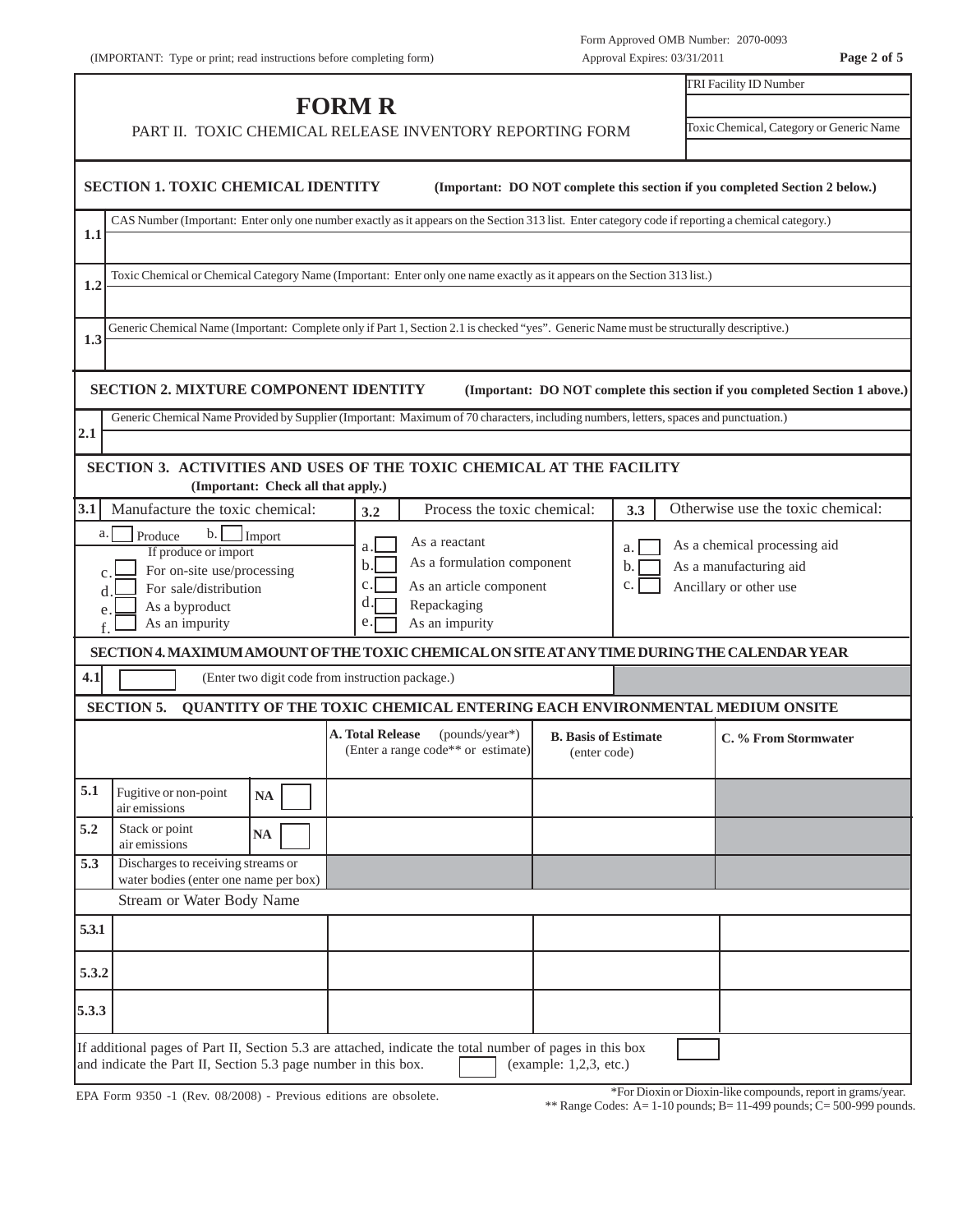| . .<br>s. |  | -91 |  |
|-----------|--|-----|--|
|-----------|--|-----|--|

|       | <b>FORM R</b>                                                                                                                                                                                        |                                                                                 | TRI Facility ID Number                      |     |                                                                             |  |  |  |  |  |  |
|-------|------------------------------------------------------------------------------------------------------------------------------------------------------------------------------------------------------|---------------------------------------------------------------------------------|---------------------------------------------|-----|-----------------------------------------------------------------------------|--|--|--|--|--|--|
|       | PART II. TOXIC CHEMICAL RELEASE INVENTORY REPORTING FORM                                                                                                                                             |                                                                                 | Toxic Chemical, Category or Generic Name    |     |                                                                             |  |  |  |  |  |  |
|       | <b>SECTION 1. TOXIC CHEMICAL IDENTITY</b><br>(Important: DO NOT complete this section if you completed Section 2 below.)                                                                             |                                                                                 |                                             |     |                                                                             |  |  |  |  |  |  |
| 1.1   | CAS Number (Important: Enter only one number exactly as it appears on the Section 313 list. Enter category code if reporting a chemical category.)                                                   |                                                                                 |                                             |     |                                                                             |  |  |  |  |  |  |
|       |                                                                                                                                                                                                      |                                                                                 |                                             |     |                                                                             |  |  |  |  |  |  |
| 1.2   | Toxic Chemical or Chemical Category Name (Important: Enter only one name exactly as it appears on the Section 313 list.)                                                                             |                                                                                 |                                             |     |                                                                             |  |  |  |  |  |  |
| 1.3   | Generic Chemical Name (Important: Complete only if Part 1, Section 2.1 is checked "yes". Generic Name must be structurally descriptive.)                                                             |                                                                                 |                                             |     |                                                                             |  |  |  |  |  |  |
|       |                                                                                                                                                                                                      |                                                                                 |                                             |     |                                                                             |  |  |  |  |  |  |
|       | <b>SECTION 2. MIXTURE COMPONENT IDENTITY</b>                                                                                                                                                         |                                                                                 |                                             |     | (Important: DO NOT complete this section if you completed Section 1 above.) |  |  |  |  |  |  |
| 2.1   | Generic Chemical Name Provided by Supplier (Important: Maximum of 70 characters, including numbers, letters, spaces and punctuation.)                                                                |                                                                                 |                                             |     |                                                                             |  |  |  |  |  |  |
|       | SECTION 3. ACTIVITIES AND USES OF THE TOXIC CHEMICAL AT THE FACILITY                                                                                                                                 |                                                                                 |                                             |     |                                                                             |  |  |  |  |  |  |
|       | (Important: Check all that apply.)                                                                                                                                                                   |                                                                                 |                                             |     |                                                                             |  |  |  |  |  |  |
| 3.1   | Manufacture the toxic chemical:                                                                                                                                                                      | Process the toxic chemical:<br>3.2                                              |                                             | 3.3 | Otherwise use the toxic chemical:                                           |  |  |  |  |  |  |
| a.    | b.<br>Produce<br>Import<br>If produce or import                                                                                                                                                      | As a reactant<br>a.                                                             |                                             | a.  | As a chemical processing aid                                                |  |  |  |  |  |  |
|       | For on-site use/processing                                                                                                                                                                           | As a formulation component<br>b.                                                |                                             | b.  | As a manufacturing aid                                                      |  |  |  |  |  |  |
|       | For sale/distribution<br>As a byproduct                                                                                                                                                              | c.<br>As an article component<br>d.<br>Repackaging                              |                                             | c.  | Ancillary or other use                                                      |  |  |  |  |  |  |
| e.    | As an impurity                                                                                                                                                                                       | As an impurity<br>e.                                                            |                                             |     |                                                                             |  |  |  |  |  |  |
|       | SECTION 4. MAXIMUM AMOUNT OF THE TOXIC CHEMICAL ON SITE AT ANY TIME DURING THE CALENDAR YEAR                                                                                                         |                                                                                 |                                             |     |                                                                             |  |  |  |  |  |  |
| 4.1   | (Enter two digit code from instruction package.)                                                                                                                                                     |                                                                                 |                                             |     |                                                                             |  |  |  |  |  |  |
|       | <b>SECTION 5.</b>                                                                                                                                                                                    | QUANTITY OF THE TOXIC CHEMICAL ENTERING EACH ENVIRONMENTAL MEDIUM ONSITE        |                                             |     |                                                                             |  |  |  |  |  |  |
|       |                                                                                                                                                                                                      | <b>A. Total Release</b><br>(pounds/year*)<br>(Enter a range code** or estimate) | <b>B.</b> Basis of Estimate<br>(enter code) |     | C. % From Stormwater                                                        |  |  |  |  |  |  |
| 5.1   | Fugitive or non-point<br><b>NA</b><br>air emissions                                                                                                                                                  |                                                                                 |                                             |     |                                                                             |  |  |  |  |  |  |
| 5.2   | Stack or point<br><b>NA</b><br>air emissions                                                                                                                                                         |                                                                                 |                                             |     |                                                                             |  |  |  |  |  |  |
| 5.3   | Discharges to receiving streams or<br>water bodies (enter one name per box)                                                                                                                          |                                                                                 |                                             |     |                                                                             |  |  |  |  |  |  |
|       | Stream or Water Body Name                                                                                                                                                                            |                                                                                 |                                             |     |                                                                             |  |  |  |  |  |  |
| 5.3.1 |                                                                                                                                                                                                      |                                                                                 |                                             |     |                                                                             |  |  |  |  |  |  |
| 5.3.2 |                                                                                                                                                                                                      |                                                                                 |                                             |     |                                                                             |  |  |  |  |  |  |
| 5.3.3 |                                                                                                                                                                                                      |                                                                                 |                                             |     |                                                                             |  |  |  |  |  |  |
|       | If additional pages of Part II, Section 5.3 are attached, indicate the total number of pages in this box<br>and indicate the Part II, Section 5.3 page number in this box.<br>(example: 1,2,3, etc.) |                                                                                 |                                             |     |                                                                             |  |  |  |  |  |  |
|       |                                                                                                                                                                                                      |                                                                                 |                                             |     |                                                                             |  |  |  |  |  |  |

EPA Form 9350 -1 (Rev. 08/2008) - Previous editions are obsolete.

\*For Dioxin or Dioxin-like compounds, report in grams/year.

\*\* Range Codes: A=  $1-10$  pounds; B=  $11-499$  pounds; C=  $500-999$  pounds.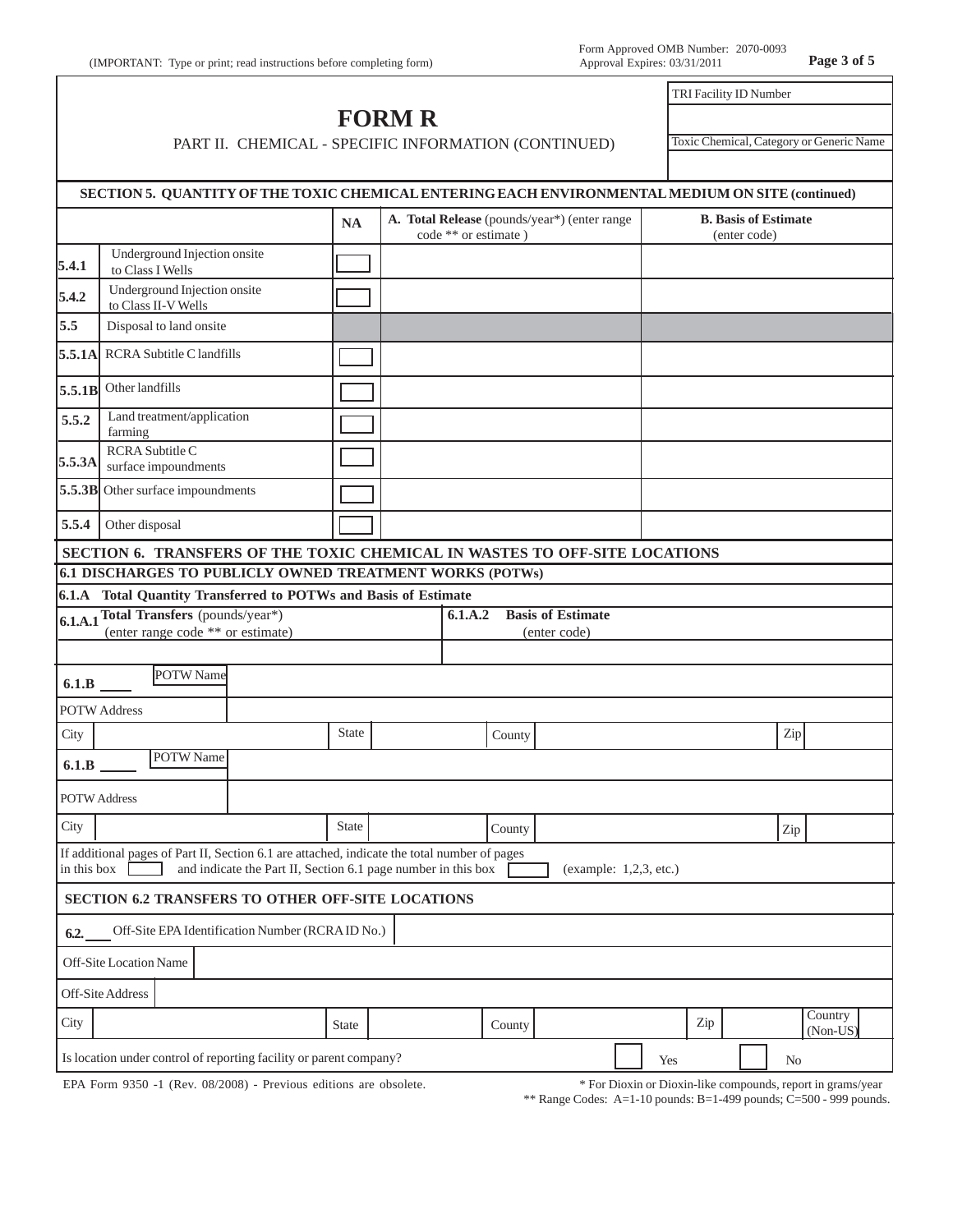## **FORM R** PART II. CHEMICAL - SPECIFIC INFORMATION (CONTINUED)

Toxic Chemical, Category or Generic Name

TRI Facility ID Number

|                     | SECTION 5. QUANTITY OF THE TOXIC CHEMICAL ENTERING EACH ENVIRONMENTAL MEDIUM ON SITE (continued)                                                              |              |                      |                                              |                        |     |                                             |                     |
|---------------------|---------------------------------------------------------------------------------------------------------------------------------------------------------------|--------------|----------------------|----------------------------------------------|------------------------|-----|---------------------------------------------|---------------------|
|                     |                                                                                                                                                               | <b>NA</b>    | code ** or estimate) | A. Total Release (pounds/year*) (enter range |                        |     | <b>B.</b> Basis of Estimate<br>(enter code) |                     |
| 5.4.1               | Underground Injection onsite<br>to Class I Wells                                                                                                              |              |                      |                                              |                        |     |                                             |                     |
| 5.4.2               | Underground Injection onsite<br>to Class II-V Wells                                                                                                           |              |                      |                                              |                        |     |                                             |                     |
| 5.5                 | Disposal to land onsite                                                                                                                                       |              |                      |                                              |                        |     |                                             |                     |
| 5.5.1A              | <b>RCRA Subtitle C landfills</b>                                                                                                                              |              |                      |                                              |                        |     |                                             |                     |
| 5.5.1B              | Other landfills                                                                                                                                               |              |                      |                                              |                        |     |                                             |                     |
| 5.5.2               | Land treatment/application<br>farming                                                                                                                         |              |                      |                                              |                        |     |                                             |                     |
| 5.5.3A              | RCRA Subtitle C<br>surface impoundments                                                                                                                       |              |                      |                                              |                        |     |                                             |                     |
|                     | 5.5.3B Other surface impoundments                                                                                                                             |              |                      |                                              |                        |     |                                             |                     |
| 5.5.4               | Other disposal                                                                                                                                                |              |                      |                                              |                        |     |                                             |                     |
|                     | SECTION 6. TRANSFERS OF THE TOXIC CHEMICAL IN WASTES TO OFF-SITE LOCATIONS                                                                                    |              |                      |                                              |                        |     |                                             |                     |
|                     | 6.1 DISCHARGES TO PUBLICLY OWNED TREATMENT WORKS (POTWs)                                                                                                      |              |                      |                                              |                        |     |                                             |                     |
|                     | 6.1.A Total Quantity Transferred to POTWs and Basis of Estimate                                                                                               |              |                      |                                              |                        |     |                                             |                     |
|                     | 6.1.A.1 Total Transfers (pounds/year*)                                                                                                                        |              | 6.1.A.2              | <b>Basis of Estimate</b>                     |                        |     |                                             |                     |
|                     | (enter range code ** or estimate)                                                                                                                             |              |                      | (enter code)                                 |                        |     |                                             |                     |
| 6.1.B               | POTW Name                                                                                                                                                     |              |                      |                                              |                        |     |                                             |                     |
|                     | <b>POTW Address</b>                                                                                                                                           |              |                      |                                              |                        |     |                                             |                     |
| City                |                                                                                                                                                               | <b>State</b> |                      | County                                       |                        |     | Zip                                         |                     |
| 6.1.B               | POTW Name                                                                                                                                                     |              |                      |                                              |                        |     |                                             |                     |
| <b>POTW Address</b> |                                                                                                                                                               |              |                      |                                              |                        |     |                                             |                     |
| City                |                                                                                                                                                               | <b>State</b> |                      | County                                       |                        |     | Zip                                         |                     |
| in this box         | If additional pages of Part II, Section 6.1 are attached, indicate the total number of pages<br>and indicate the Part II, Section 6.1 page number in this box |              |                      |                                              | (example: 1,2,3, etc.) |     |                                             |                     |
|                     | SECTION 6.2 TRANSFERS TO OTHER OFF-SITE LOCATIONS                                                                                                             |              |                      |                                              |                        |     |                                             |                     |
| 6.2.                | Off-Site EPA Identification Number (RCRAID No.)                                                                                                               |              |                      |                                              |                        |     |                                             |                     |
|                     | Off-Site Location Name                                                                                                                                        |              |                      |                                              |                        |     |                                             |                     |
|                     | Off-Site Address                                                                                                                                              |              |                      |                                              |                        |     |                                             |                     |
| City                |                                                                                                                                                               | State        |                      | County                                       |                        | Zip |                                             | Country<br>(Non-US) |
|                     | Is location under control of reporting facility or parent company?                                                                                            |              |                      |                                              |                        | Yes | No                                          |                     |
|                     |                                                                                                                                                               |              |                      |                                              |                        |     |                                             |                     |

EPA Form 9350 -1 (Rev. 08/2008) - Previous editions are obsolete.

\* For Dioxin or Dioxin-like compounds, report in grams/year

\*\* Range Codes: A=1-10 pounds: B=1-499 pounds; C=500 - 999 pounds.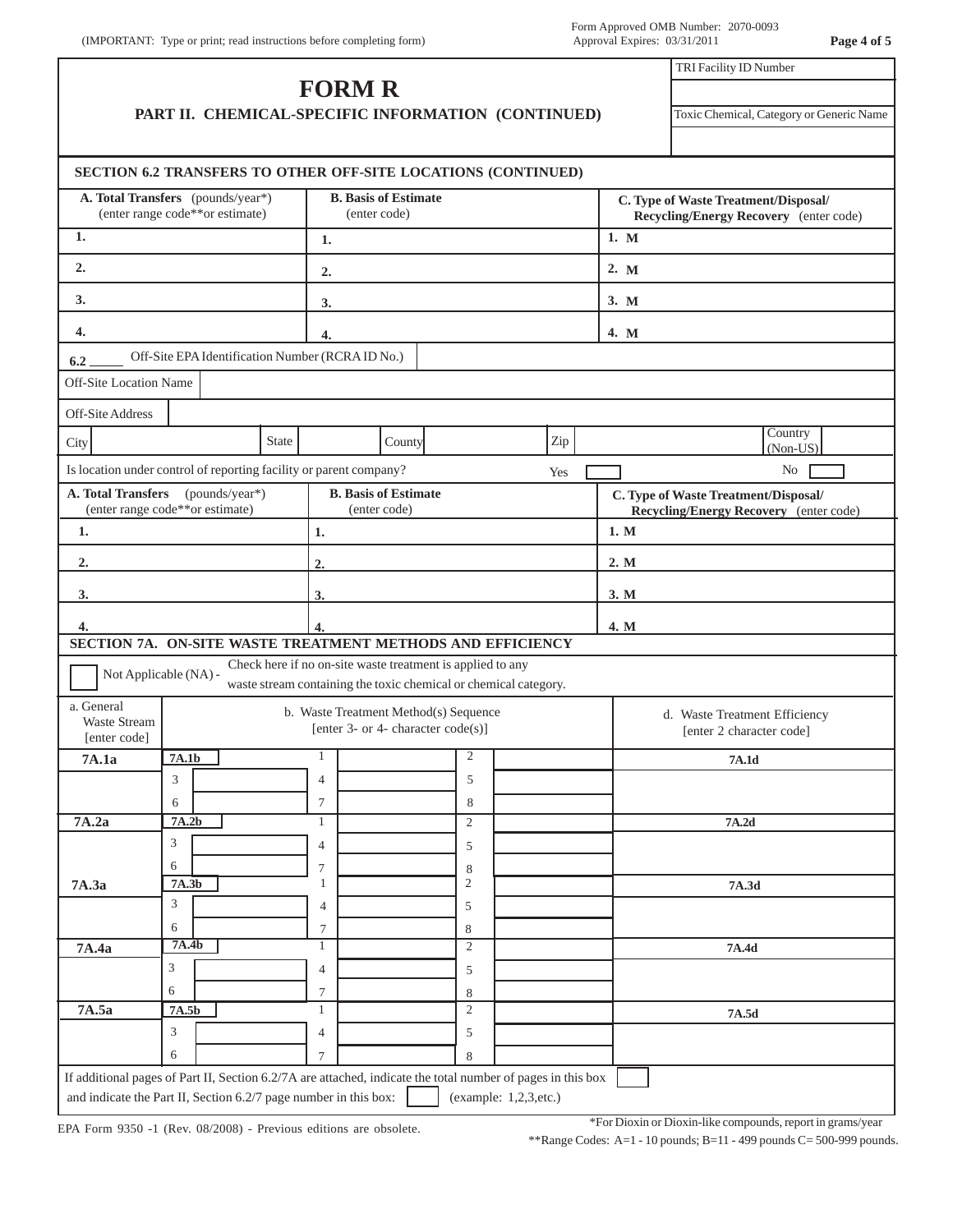|                                                   |                                                                      |       | <b>FORM R</b>                                                      |                                                                                                                                |     | TRI Facility ID Number                                                                |  |  |  |
|---------------------------------------------------|----------------------------------------------------------------------|-------|--------------------------------------------------------------------|--------------------------------------------------------------------------------------------------------------------------------|-----|---------------------------------------------------------------------------------------|--|--|--|
|                                                   |                                                                      |       |                                                                    | PART II. CHEMICAL-SPECIFIC INFORMATION (CONTINUED)                                                                             |     | Toxic Chemical, Category or Generic Name                                              |  |  |  |
|                                                   |                                                                      |       |                                                                    | SECTION 6.2 TRANSFERS TO OTHER OFF-SITE LOCATIONS (CONTINUED)                                                                  |     |                                                                                       |  |  |  |
|                                                   | A. Total Transfers (pounds/year*)<br>(enter range code**or estimate) |       | <b>B.</b> Basis of Estimate<br>(enter code)                        |                                                                                                                                |     | C. Type of Waste Treatment/Disposal/<br>Recycling/Energy Recovery (enter code)        |  |  |  |
| 1.                                                |                                                                      |       | 1.                                                                 |                                                                                                                                |     | 1. M                                                                                  |  |  |  |
| 2.                                                |                                                                      |       | 2.                                                                 |                                                                                                                                |     | 2. M                                                                                  |  |  |  |
| 3.                                                |                                                                      |       | 3.                                                                 |                                                                                                                                |     | 3. M                                                                                  |  |  |  |
| 4.                                                |                                                                      |       | 4.                                                                 |                                                                                                                                |     | 4. M                                                                                  |  |  |  |
| 6.2                                               |                                                                      |       | Off-Site EPA Identification Number (RCRA ID No.)                   |                                                                                                                                |     |                                                                                       |  |  |  |
| Off-Site Location Name                            |                                                                      |       |                                                                    |                                                                                                                                |     |                                                                                       |  |  |  |
| Off-Site Address                                  |                                                                      |       |                                                                    |                                                                                                                                |     |                                                                                       |  |  |  |
| City                                              |                                                                      | State |                                                                    | County                                                                                                                         | Zip | Country<br>(Non-US)                                                                   |  |  |  |
|                                                   |                                                                      |       | Is location under control of reporting facility or parent company? |                                                                                                                                | Yes | No                                                                                    |  |  |  |
| <b>A. Total Transfers</b>                         | (pounds/year*)<br>(enter range code**or estimate)                    |       | <b>B.</b> Basis of Estimate<br>(enter code)                        |                                                                                                                                |     | C. Type of Waste Treatment/Disposal/<br><b>Recycling/Energy Recovery</b> (enter code) |  |  |  |
| 1.                                                |                                                                      |       | 1.                                                                 |                                                                                                                                |     | 1. M                                                                                  |  |  |  |
| $\overline{2}$ .                                  |                                                                      |       | 2.                                                                 |                                                                                                                                |     | 2. M                                                                                  |  |  |  |
| 3.                                                |                                                                      |       | 3.                                                                 |                                                                                                                                |     | 3. M                                                                                  |  |  |  |
|                                                   |                                                                      |       |                                                                    |                                                                                                                                |     |                                                                                       |  |  |  |
| 4.                                                |                                                                      |       | 4.                                                                 | SECTION 7A. ON-SITE WASTE TREATMENT METHODS AND EFFICIENCY                                                                     |     | 4. M                                                                                  |  |  |  |
|                                                   | Not Applicable (NA) -                                                |       |                                                                    | Check here if no on-site waste treatment is applied to any<br>waste stream containing the toxic chemical or chemical category. |     |                                                                                       |  |  |  |
| a. General<br><b>Waste Stream</b><br>[enter code] |                                                                      |       | [enter 3- or 4- character $code(s)$ ]                              | b. Waste Treatment Method(s) Sequence                                                                                          |     | d. Waste Treatment Efficiency<br>[enter 2 character code]                             |  |  |  |
| 7A.1a                                             | 7A.1b                                                                |       | 1                                                                  | 2                                                                                                                              |     | 7A.1d                                                                                 |  |  |  |
|                                                   | 3                                                                    |       | $\overline{4}$                                                     | 5                                                                                                                              |     |                                                                                       |  |  |  |
| 7A.2a                                             | 6<br>7A.2b                                                           |       | 7<br>1                                                             | 8<br>$\overline{2}$                                                                                                            |     | 7A.2d                                                                                 |  |  |  |
|                                                   | 3                                                                    |       | $\overline{4}$                                                     | 5                                                                                                                              |     |                                                                                       |  |  |  |
|                                                   | 6                                                                    |       | 7                                                                  | 8                                                                                                                              |     |                                                                                       |  |  |  |
| 7A.3a                                             | 7A.3b                                                                |       | $\mathbf{1}$                                                       | $\sqrt{2}$                                                                                                                     |     | 7A.3d                                                                                 |  |  |  |
|                                                   | 3                                                                    |       | 4                                                                  | 5                                                                                                                              |     |                                                                                       |  |  |  |
| 7A.4a                                             | 6<br>7A.4b                                                           |       | 7<br>1                                                             | 8<br>$\overline{2}$                                                                                                            |     | 7A.4d                                                                                 |  |  |  |
|                                                   |                                                                      |       | $\overline{4}$                                                     | 5                                                                                                                              |     |                                                                                       |  |  |  |
|                                                   | 3                                                                    |       |                                                                    |                                                                                                                                |     |                                                                                       |  |  |  |
|                                                   | 6                                                                    |       | 7                                                                  | 8                                                                                                                              |     |                                                                                       |  |  |  |
| 7A.5a                                             | 7A.5b                                                                |       | $\mathbf{1}$                                                       | $\mathfrak{2}$                                                                                                                 |     | 7A.5d                                                                                 |  |  |  |
|                                                   | 3<br>6                                                               |       | $\overline{4}$                                                     | 5<br>8                                                                                                                         |     |                                                                                       |  |  |  |

EPA Form 9350 -1 (Rev. 08/2008) - Previous editions are obsolete.

\*For Dioxin or Dioxin-like compounds, report in grams/year

\*\*Range Codes: A=1 - 10 pounds; B=11 - 499 pounds C= 500-999 pounds.